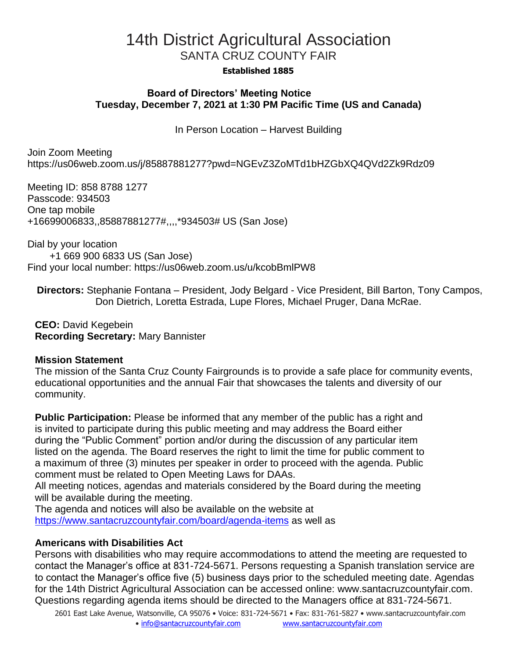# 14th District Agricultural Association SANTA CRUZ COUNTY FAIR

#### **Established 1885**

### **Board of Directors' Meeting Notice Tuesday, December 7, 2021 at 1:30 PM Pacific Time (US and Canada)**

In Person Location – Harvest Building

Join Zoom Meeting https://us06web.zoom.us/j/85887881277?pwd=NGEvZ3ZoMTd1bHZGbXQ4QVd2Zk9Rdz09

Meeting ID: 858 8788 1277 Passcode: 934503 One tap mobile +16699006833,,85887881277#,,,,\*934503# US (San Jose)

Dial by your location +1 669 900 6833 US (San Jose) Find your local number: https://us06web.zoom.us/u/kcobBmlPW8

**Directors:** Stephanie Fontana – President, Jody Belgard - Vice President, Bill Barton, Tony Campos, Don Dietrich, Loretta Estrada, Lupe Flores, Michael Pruger, Dana McRae.

**CEO:** David Kegebein **Recording Secretary:** Mary Bannister

#### **Mission Statement**

The mission of the Santa Cruz County Fairgrounds is to provide a safe place for community events, educational opportunities and the annual Fair that showcases the talents and diversity of our community.

**Public Participation:** Please be informed that any member of the public has a right and is invited to participate during this public meeting and may address the Board either during the "Public Comment" portion and/or during the discussion of any particular item listed on the agenda. The Board reserves the right to limit the time for public comment to a maximum of three (3) minutes per speaker in order to proceed with the agenda. Public comment must be related to Open Meeting Laws for DAAs.

All meeting notices, agendas and materials considered by the Board during the meeting will be available during the meeting.

The agenda and notices will also be available on the website at <https://www.santacruzcountyfair.com/board/agenda-items> as well as

# **Americans with Disabilities Act**

Persons with disabilities who may require accommodations to attend the meeting are requested to contact the Manager's office at 831-724-5671. Persons requesting a Spanish translation service are to contact the Manager's office five (5) business days prior to the scheduled meeting date. Agendas for the 14th District Agricultural Association can be accessed online: [www.santacruzcountyfair.com.](http://www.santacruzcountyfair.com/) Questions regarding agenda items should be directed to the Managers office at 831-724-5671.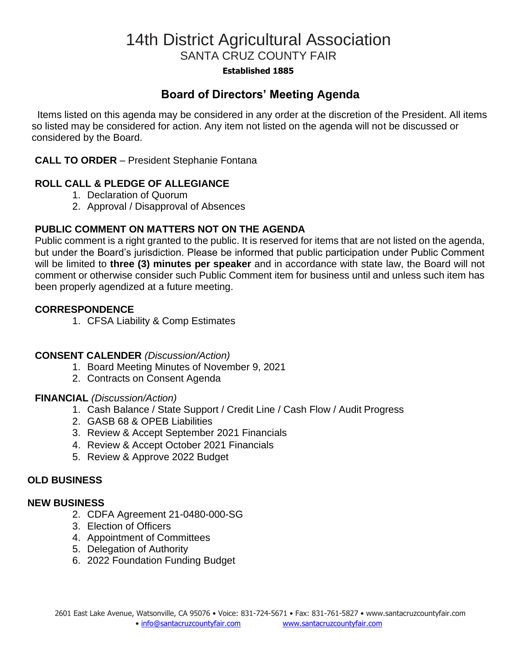# 14th District Agricultural Association SANTA CRUZ COUNTY FAIR

#### **Established 1885**

# **Board of Directors' Meeting Agenda**

 Items listed on this agenda may be considered in any order at the discretion of the President. All items so listed may be considered for action. Any item not listed on the agenda will not be discussed or considered by the Board.

### **CALL TO ORDER** – President Stephanie Fontana

## **ROLL CALL & PLEDGE OF ALLEGIANCE**

- 1. Declaration of Quorum
- 2. Approval / Disapproval of Absences

## **PUBLIC COMMENT ON MATTERS NOT ON THE AGENDA**

Public comment is a right granted to the public. It is reserved for items that are not listed on the agenda, but under the Board's jurisdiction. Please be informed that public participation under Public Comment will be limited to **three (3) minutes per speaker** and in accordance with state law, the Board will not comment or otherwise consider such Public Comment item for business until and unless such item has been properly agendized at a future meeting.

#### **CORRESPONDENCE**

1. CFSA Liability & Comp Estimates

#### **CONSENT CALENDER** *(Discussion/Action)*

- 1. Board Meeting Minutes of November 9, 2021
- 2. Contracts on Consent Agenda

#### **FINANCIAL** *(Discussion/Action)*

- 1. Cash Balance / State Support / Credit Line / Cash Flow / Audit Progress
- 2. GASB 68 & OPEB Liabilities
- 3. Review & Accept September 2021 Financials
- 4. Review & Accept October 2021 Financials
- 5. Review & Approve 2022 Budget

## **OLD BUSINESS**

#### **NEW BUSINESS**

- 2. CDFA Agreement 21-0480-000-SG
- 3. Election of Officers
- 4. Appointment of Committees
- 5. Delegation of Authority
- 6. 2022 Foundation Funding Budget